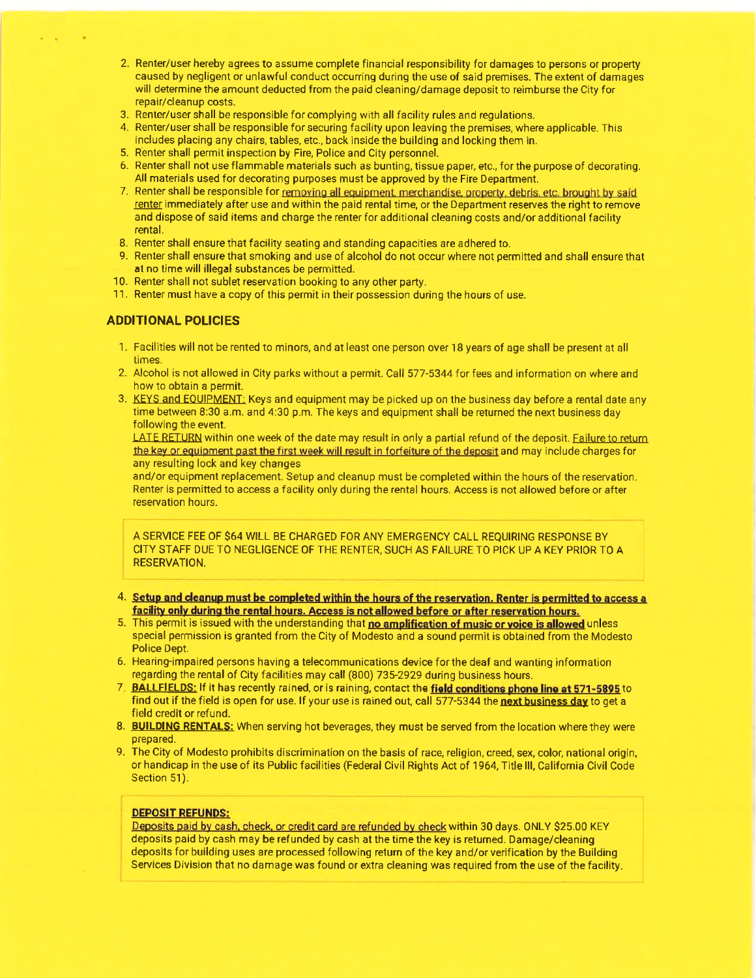- 2. Renter/user hereby agrees to assume complete financial responsibility for damages to persons or property caused by negligent or unlawful conduct occuning during the use of said premises. The extent of damages will determine the amount deducted from the paid cleaning/damage deposit to reimburse the City for repair/cleanup costs.
- 3. Renter/user shall be responsible for complying with all facility rules and regulations.
- 4. Renter/user shall be responsible for securing facility upon leaving the premises, where applicable. This includes placing any chairs, tables, etc., back inside the building and locking them in.
- 5. R'enter shall permit inspection by Fire, Police and City personnel.
- 6. Renter shall not use flammable materials such as bunting, tissue paper, etc., for the purpose of decorating. All materials used for decorating purposes must be approved by the Fire Department.
- 7. Renter shall be responsible for removing all equipment. merchandise. property. debris. etc. brought by said renter immediately after use and within the paid rental time, or the Department reserves the right to remove and dispose of said items and charge the renter for additional cleaning costs and/or additional facility rental.
- 8. Renter shall ensure that facility seating and standing capacities are adhered to.
- 9. Renter shall ensure that smoking and use of alcohol do not occur where not permitted and shall ensure that at no time will illegal substances be permitted.
- 10. Renter shall not sublet reservation booking to any other party.
- 11. Renter must have a copy of this permit in their possession during the hours of use.

### ADDITIONAL POLICIES

- 1. Facilities will not be rented to minors, and at least one person over 18 years of age shall be present at all times.
- 2. Alcohol is not allowed in City parks without a permit. Call 577-5344 for fees and information on where and how to obtain a permit.
- 3. KEYS and EOUIPMENT: Keys and equipment may be picked up on the business day before a rental date any time between 8:30 a.m. and 4:30 p.m. The keys and equipment shall be returned the next business day following the event.

LATE RETURN within one week of the date may result in only a partial refund of the deposit. Failure to return the key or equipment past the first week will result in forfeiture of the deposit and may include charges for any resulting lock and key changes

and/or equipment replacement. Setup and cleanup must be completed within the hours of the reservation, Renter is permitted to access a facility only during the rental hours. Access is not allowed before or after reservation hours.

A SERVICE FEE OF \$64 WILL BE CHARGED FOR ANY EMERGENCY CALL REQUIRING RESPONSE BY CITY STAFF DUE TO NEGLIGENCE OF THE RENTER, SUCH AS FAILURE TO PICK UP A KEY PRIOR TO A RESERVATION.

- 4. Setup and cleanup must be completed within the hours of the reservation. Renter is permitted to access a facility only during the rental hours. Access is not allowed before or after reservation hours.
- 5. This permit is issued with the understanding that no amplification of music or voice is allowed unless special permission is granted from the City of Modesto and a sound permit is obtained from the Modesto Police Dept.
- 6. Hearing-impaired persons having a telecommunications device for the deaf and wanting information regarding the rental of City facilities may call (800) 735-2929 during business hours.
- 7. BALLFIELDS: If it has recently rained, or is raining, contact the field conditions phone line at 571-5895 to find out if the field is open for use. If your use is rained out, call 577-5344 the next business day to get a field credit or refund.
- 8. BUILDING RENTALS: When serving hot beverages, they must be served from the location where they were prepared.
- 9. The City of Modesto prohibits discrimination on the basis of race, religion, creed, sex, color, national origin, or handicap in the use of its Public facilities (Federal Civil Rights Act of '1964, Title lll, California Civil Code Section 51).

### DEPOSIT REFUNDS:

Deposits paid by cash, check, or credit card are refunded by check within 30 days. ONLY \$25.00 KEY deposits paid by cash may be refunded by cash at the time the key is returned. Damage/cleaning deposits for building uses are processed following return of the key and/or verification by the Building Services Division that no damage was found or extra cleaning was required from the use of the facility.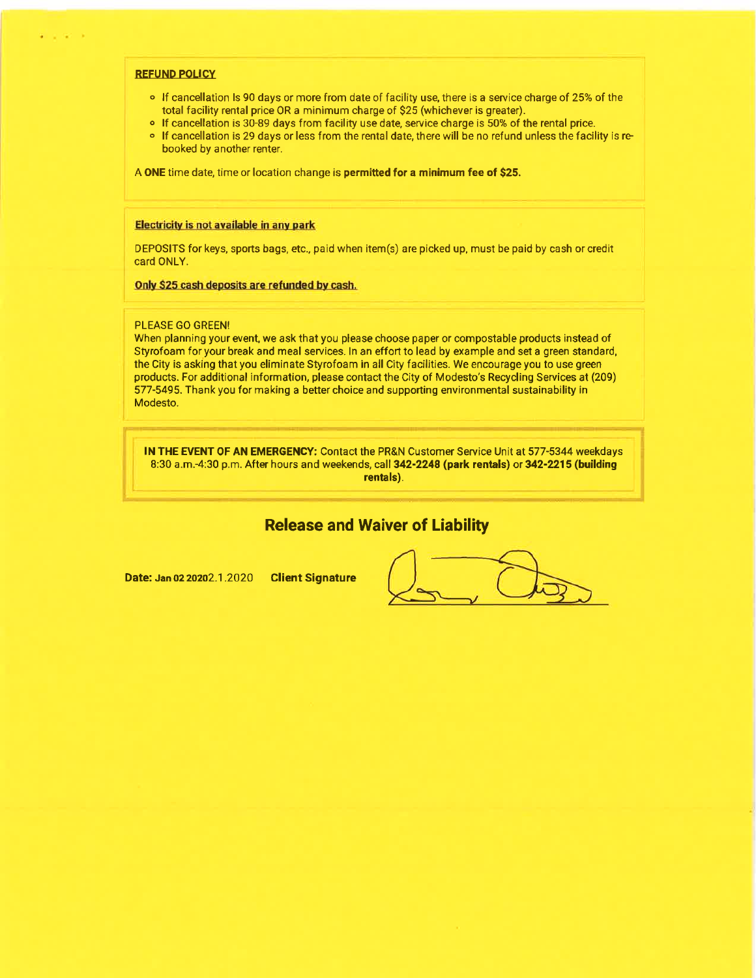### REFUND POLICY

- o If cancellation Is 90 days or more from date of facility use, there is a service charge of 25% of the total facility rental price 0R a minimum charge of \$25 (whichever is greater).
- o If cancellation is 30-89 days from facility use date, service charge is 50% of the rental price.
- o If cancellation is 29 days or less from the rental date, there will be no refund unless the facility is rebooked by another renter.

A ONE time date, time or location change is permitted for a minimum fee of \$25.

### Electricity is not available in any park

DEPOSITS for keys, sports bags, etc., paid when item(s) are picked up, must be paid by cash or credit card ONLY.

### Only S25 cash deposits are refunded by cash.

### PLEASE GO GREEN!

When planning your event, we ask that you please choose paper or compostable products instead of Styrofoam for your break and meal services. ln an effort to lead by example and set a green standard, the City is asking that you eliminate Styrofoam in all City facilities. We encourage you to use green products. For additional information, please contact the City of Modesto's Recycling Services at (209) 577-5495. Thank you for making a better choice and supporting environmental sustainability in Modesto.

IN THE EVENT OF AN EMERGENCY: Contact the PR&N Customer Service Unit at 577-5344 weekdays 8:30 a.m.-4:30 p.m. After hours and weekends, call 342-2248 (park rentals) or 342-2215 (building rentals).

# Release and Waiver of Liability

Date: Jan 02 2o2o2.1 .2O2O Client Signature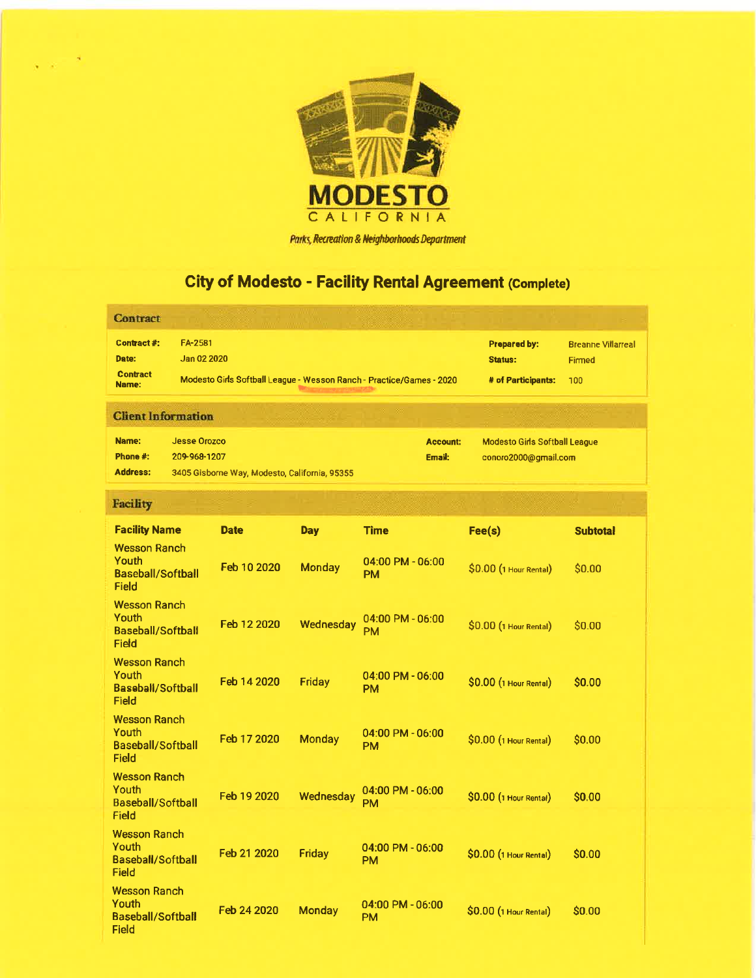

### Parks, Recreation & Neighborhoods Department

# City of Modesto - Facility Rental Agreement (Complete)

| <b>Contract</b>                                                   |                                     |                                               |               |                                                                      |                                                              |                                                   |
|-------------------------------------------------------------------|-------------------------------------|-----------------------------------------------|---------------|----------------------------------------------------------------------|--------------------------------------------------------------|---------------------------------------------------|
| Contract#:<br>Date:<br><b>Contract</b><br>Name:                   | FA-2581<br>Jan 02 2020              |                                               |               | Modesto Girls Softball League - Wesson Ranch - Practice/Games - 2020 | <b>Prepared by:</b><br><b>Status:</b><br># of Participants:  | <b>Breanne Villarreal</b><br><b>Firmed</b><br>100 |
| <b>Client Information</b>                                         |                                     |                                               |               |                                                                      |                                                              |                                                   |
| Name:<br>Phone #:<br><b>Address:</b>                              | <b>Jesse Orozco</b><br>209-968-1207 | 3405 Gisborne Way, Modesto, California, 95355 |               | <b>Account:</b><br>Email:                                            | <b>Modesto Girls Softball League</b><br>conoro2000@gmail.com |                                                   |
| <b>Facility</b>                                                   |                                     |                                               |               |                                                                      |                                                              |                                                   |
| <b>Facility Name</b>                                              |                                     | <b>Date</b>                                   | <b>Day</b>    | <b>Time</b>                                                          | Fee(s)                                                       | <b>Subtotal</b>                                   |
| <b>Wesson Ranch</b><br>Youth<br><b>Baseball/Softball</b><br>Field |                                     | Feb 10 2020                                   | <b>Monday</b> | 04:00 PM - 06:00<br><b>PM</b>                                        | \$0.00 (1 Hour Rental)                                       | \$0.00                                            |
| <b>Wesson Ranch</b><br>Youth<br><b>Baseball/Softball</b><br>Field |                                     | Feb 12 2020                                   | Wednesdav     | 04:00 PM - 06:00<br>PM                                               | \$0.00 (1 Hour Rental)                                       | \$0.00                                            |
| <b>Wesson Ranch</b><br>Youth<br><b>Baseball/Softball</b><br>Field |                                     | Feb 14 2020                                   | <b>Friday</b> | $04:00$ PM - $06:00$<br><b>PM</b>                                    | \$0.00 (1 Hour Rental)                                       | \$0.00                                            |
| <b>Wesson Ranch</b><br>Youth<br><b>Baseball/Softball</b><br>Field |                                     | Feb 17 2020                                   | <b>Monday</b> | $04:00$ PM - $06:00$<br><b>PM</b>                                    | \$0.00 (1 Hour Rental)                                       | \$0.00                                            |
| <b>Wesson Ranch</b><br>Youth<br><b>Baseball/Softball</b><br>Field |                                     | Feb 19 2020                                   | Wednesday     | $04:00$ PM - $06:00$<br><b>PM</b>                                    | SO.OO (1 Hour Rental)                                        | <b>SO.00</b>                                      |
| <b>Wesson Ranch</b><br>Youth<br>Baseball/Softball<br>Field        |                                     | Feb 21 2020                                   | Friday        | 04:00 PM - 06:00<br><b>PM</b>                                        | \$0.00 (1 Hour Rental)                                       | \$0.00                                            |
| <b>Wesson Ranch</b><br>Youth<br><b>Baseball/Softball</b><br>Field |                                     | Feb 24 2020                                   | <b>Monday</b> | $04:00$ PM - $06:00$<br><b>PM</b>                                    | \$0.00 (1 Hour Rental)                                       | \$0.00                                            |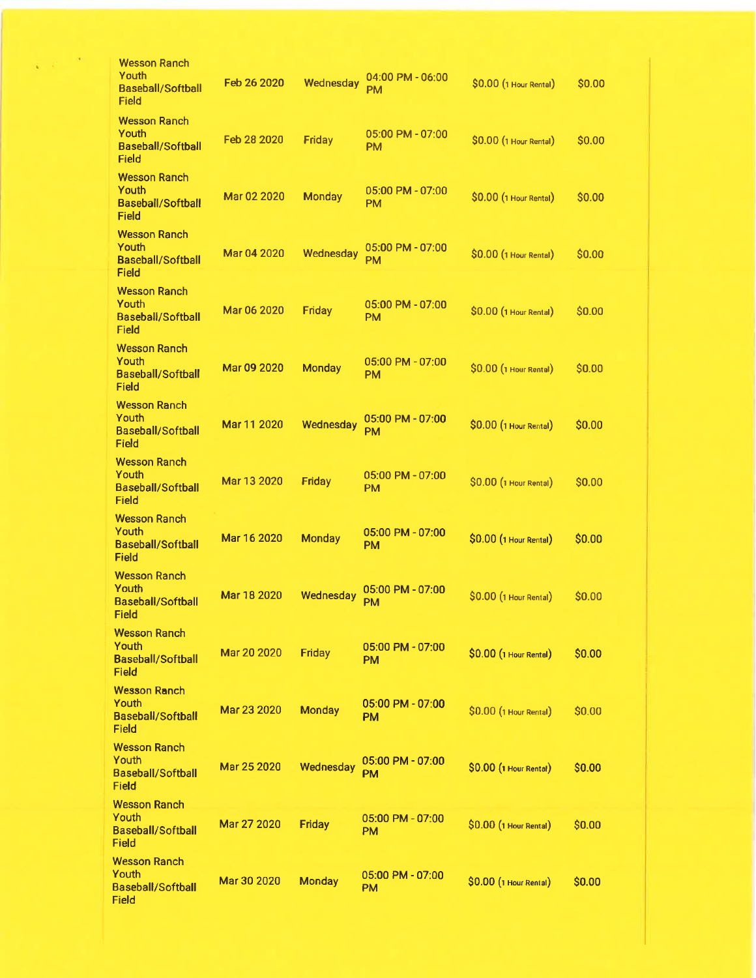| <b>Wesson Ranch</b><br>Youth<br><b>Baseball/Softball</b><br>Field        | Feb 26 2020 | Wednesday     | $04:00$ PM - $06:00$<br><b>PM</b> | \$0.00 (1 Hour Rental) | \$0.00       |
|--------------------------------------------------------------------------|-------------|---------------|-----------------------------------|------------------------|--------------|
| <b>Wesson Ranch</b><br>Youth<br><b>Baseball/Softball</b><br>Field        | Feb 28 2020 | <b>Friday</b> | $05:00$ PM - $07:00$<br><b>PM</b> | \$0.00 (1 Hour Rental) | \$0.00       |
| <b>Wesson Ranch</b><br>Youth<br>Baseball/Softball<br>Field               | Mar 02 2020 | <b>Monday</b> | $05:00$ PM - $07:00$<br><b>PM</b> | \$0.00 (1 Hour Rental) | \$0.00       |
| <b>Wesson Ranch</b><br>Youth<br><b>Baseball/Softball</b><br>Field        | Mar 04 2020 | Wednesday     | 05:00 PM - 07:00<br><b>PM</b>     | \$0.00 (1 Hour Rental) | \$0.00       |
| <b>Wesson Ranch</b><br>Youth<br><b>Baseball/Softball</b><br>Field        | Mar 06 2020 | Friday        | $05:00$ PM - $07:00$<br><b>PM</b> | \$0.00 (1 Hour Rental) | \$0.00       |
| <b>Wesson Ranch</b><br>Youth<br><b>Baseball/Softball</b><br>Field        | Mar 09 2020 | <b>Monday</b> | 05:00 PM - 07:00<br><b>PM</b>     | \$0.00 (1 Hour Rental) | \$0.00       |
| <b>Wesson Ranch</b><br>Youth<br><b>Baseball/Softball</b><br>Field        | Mar 11 2020 | Wednesday     | 05:00 PM - 07:00<br><b>PM</b>     | \$0.00 (1 Hour Rental) | \$0.00       |
| <b>Wesson Ranch</b><br>Youth<br><b>Baseball/Softball</b><br>Field        | Mar 13 2020 | Friday        | $05:00$ PM - $07:00$<br><b>PM</b> | \$0.00 (1 Hour Rental) | <b>SO.00</b> |
| <b>Wesson Ranch</b><br>Youth<br><b>Baseball/Softball</b><br>Field        | Mar 16 2020 | <b>Monday</b> | $05:00$ PM - $07:00$<br><b>PM</b> | \$0.00 (1 Hour Rental) | \$0.00       |
| <b>Wesson Ranch</b><br>Youth<br><b>Baseball/Softball</b><br><b>Field</b> | Mar 18 2020 | Wednesday     | 05:00 PM - 07:00<br><b>PM</b>     | \$0.00 (1 Hour Rental) | \$0.00       |
| <b>Wesson Ranch</b><br>Youth<br><b>Baseball/Softball</b><br>Field        | Mar 20 2020 | <b>Friday</b> | 05:00 PM - 07:00<br>PМ            | \$0.00 (1 Hour Rental) | \$0.00       |
| <b>Wesson Ranch</b><br>Youth<br><b>Baseball/Softball</b><br>Field        | Mar 23 2020 | <b>Monday</b> | $05:00$ PM - $07:00$<br>PM        | \$0.00 (1 Hour Rental) | \$0.00       |
| <b>Wesson Ranch</b><br>Youth<br><b>Baseball/Softball</b><br>Field        | Mar 25 2020 | Wednesday     | 05:00 PM - 07:00<br>PM            | \$0.00 (1 Hour Rental) | \$0.00       |
| <b>Wesson Ranch</b><br>Youth<br><b>Baseball/Softball</b><br>Field        | Mar 27 2020 | <b>Friday</b> | $05:00$ PM - $07:00$<br><b>PM</b> | \$0.00 (1 Hour Rental) | \$0.00       |
| <b>Wesson Ranch</b><br>Youth<br><b>Baseball/Softball</b><br>Field        | Mar 30 2020 | <b>Monday</b> | 05:00 PM - 07:00<br>PM            | \$0.00 (1 Hour Rental) | \$0.00       |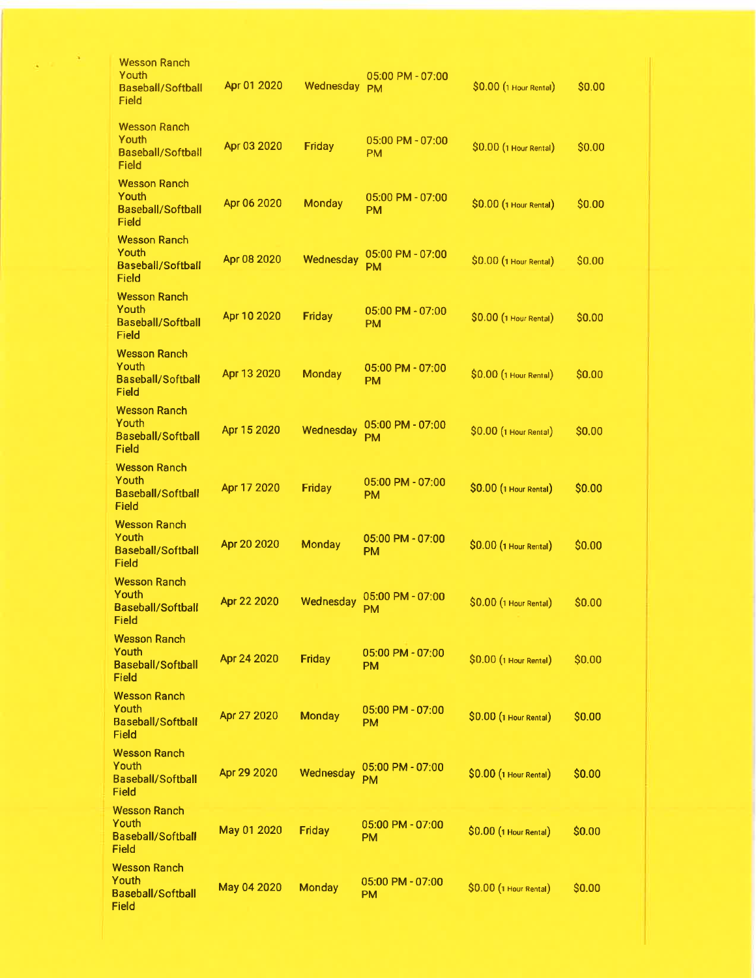| Wesson Ranch<br>Youth                                             |             |               |                                   |                        |              |
|-------------------------------------------------------------------|-------------|---------------|-----------------------------------|------------------------|--------------|
| <b>Baseball/Softball</b><br>Field                                 | Apr 01 2020 | Wednesday     | 05:00 PM - 07:00<br><b>PM</b>     | \$0.00 (1 Hour Rental) | \$0.00       |
| <b>Wesson Ranch</b><br>Youth<br><b>Baseball/Softball</b><br>Field | Apr 03 2020 | Friday        | 05:00 PM - 07:00<br>PM            | \$0.00 (1 Hour Rental) | \$0.00       |
| <b>Wesson Ranch</b><br>Youth<br><b>Baseball/Softball</b><br>Field | Apr 06 2020 | <b>Monday</b> | 05:00 PM - 07:00<br>PM            | \$0.00 (1 Hour Rental) | \$0.00       |
| <b>Wesson Ranch</b><br>Youth<br>Baseball/Softball<br>Field        | Apr 08 2020 | Wednesday     | 05:00 PM - 07:00<br><b>PM</b>     | \$0.00 (1 Hour Rental) | \$0.00       |
| <b>Wesson Ranch</b><br>Youth<br>Baseball/Softball<br>Field        | Apr 10 2020 | Friday        | $05:00$ PM - $07:00$<br><b>PM</b> | \$0.00 (1 Hour Rental) | <b>SO.00</b> |
| Wesson Ranch<br>Youth<br><b>Baseball/Softball</b><br>Field        | Apr 13 2020 | <b>Monday</b> | 05:00 PM - 07:00<br>PM            | \$0.00 (1 Hour Rental) | \$0.00       |
| <b>Wesson Ranch</b><br>Youth<br><b>Baseball/Softball</b><br>Field | Apr 15 2020 | Wednesday     | 05:00 PM - 07:00<br><b>PM</b>     | \$0.00 (1 Hour Rental) | \$0.00       |
| <b>Wesson Ranch</b><br>Youth<br><b>Baseball/Softball</b><br>Field | Apr 17 2020 | Friday        | 05:00 PM - 07:00<br>PM            | \$0.00 (1 Hour Rental) | \$0.00       |
| <b>Wesson Ranch</b><br>Youth<br><b>Baseball/Softball</b><br>Field | Apr 20 2020 | Monday        | 05:00 PM - 07:00<br><b>PM</b>     | \$0.00 (1 Hour Rental) | \$0.00       |
| <b>Wesson Ranch</b><br>Youth<br><b>Baseball/Softball</b><br>Field | Apr 22 2020 | Wednesday     | $05:00$ PM - $07:00$<br><b>PM</b> | \$0.00 (1 Hour Rental) | \$0.00       |
| <b>Wesson Ranch</b><br>Youth<br><b>Baseball/Softball</b><br>Field | Apr 24 2020 | <b>Friday</b> | 05:00 PM - 07:00<br>PM            | \$0.00 (1 Hour Rental) | \$0.00       |
| <b>Wesson Ranch</b><br>Youth<br><b>Baseball/Softball</b><br>Field | Apr 27 2020 | <b>Monday</b> | 05:00 PM - 07:00<br><b>PM</b>     | \$0.00 (1 Hour Rental) | \$0.00       |
| <b>Wesson Ranch</b><br>Youth<br><b>Baseball/Softball</b><br>Field | Apr 29 2020 | Wednesday     | 05:00 PM - 07:00<br>PM            | \$0.00 (1 Hour Rental) | \$0.00       |
| <b>Wesson Ranch</b><br>Youth<br><b>Baseball/Softball</b><br>Field | May 01 2020 | Friday        | 05:00 PM - 07:00<br><b>PM</b>     | \$0.00 (1 Hour Rental) | \$0.00       |
| <b>Wesson Ranch</b><br>Youth<br><b>Baseball/Softball</b><br>Field | May 04 2020 | <b>Monday</b> | 05:00 PM - 07:00<br>PM            | \$0.00 (1 Hour Rental) | \$0.00       |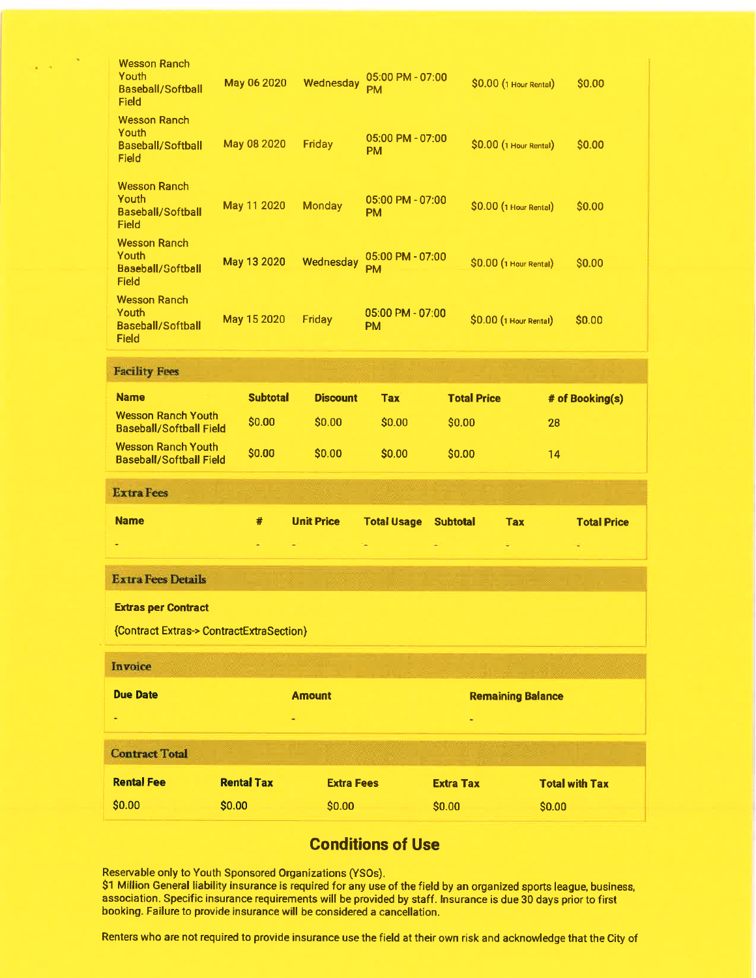| Field<br><b>Wesson Ranch</b><br>Youth                                  | May 11 2020       |                 | <b>Monday</b>     | <b>PM</b><br>$05:00$ PM - $07:00$ |                    | \$0.00 (1 Hour Rental)   | \$0.00                |
|------------------------------------------------------------------------|-------------------|-----------------|-------------------|-----------------------------------|--------------------|--------------------------|-----------------------|
| <b>Baseball/Softball</b><br>Field                                      |                   |                 |                   | <b>PM</b>                         |                    |                          |                       |
| <b>Wesson Ranch</b><br>Youth<br>Baseball/Softball<br>Field             | May 13 2020       |                 | Wednesday         | 05:00 PM - 07:00<br>PM            |                    | \$0.00 (1 Hour Rental)   | \$0.00                |
| <b>Wesson Ranch</b><br>Youth<br><b>Baseball/Softball</b><br>Field      | May 15 2020       |                 | Friday            | 05:00 PM - 07:00<br><b>PM</b>     |                    | \$0.00 (1 Hour Rental)   | \$0.00                |
| <b>Facility Fees</b>                                                   |                   |                 |                   |                                   |                    |                          |                       |
| <b>Name</b>                                                            |                   | <b>Subtotal</b> | <b>Discount</b>   | <b>Tax</b>                        | <b>Total Price</b> |                          | # of Booking(s)       |
| <b>Wesson Ranch Youth</b><br><b>Baseball/Softball Field</b>            | \$0.00            |                 | \$0.00            | \$0.00                            | \$0.00             | 28                       |                       |
|                                                                        |                   |                 |                   |                                   |                    |                          |                       |
| <b>Wesson Ranch Youth</b><br><b>Baseball/Softball Field</b>            | \$0.00            |                 | \$0.00            | \$0.00                            | \$0.00             | 14                       |                       |
| <b>Extra Fees</b>                                                      |                   |                 |                   |                                   |                    |                          |                       |
| <b>Name</b>                                                            | #                 |                 | <b>Unit Price</b> | <b>Total Usage</b>                | <b>Subtotal</b>    | <b>Tax</b>               | <b>Total Price</b>    |
|                                                                        | ٠                 |                 |                   |                                   |                    |                          |                       |
| <b>Extra Fees Details</b>                                              |                   |                 |                   |                                   |                    |                          |                       |
|                                                                        |                   |                 |                   |                                   |                    |                          |                       |
| <b>Extras per Contract</b><br>{Contract Extras-> ContractExtraSection} |                   |                 |                   |                                   |                    |                          |                       |
| Invoice                                                                |                   |                 |                   |                                   |                    |                          |                       |
| <b>Due Date</b>                                                        |                   |                 | <b>Amount</b>     |                                   |                    |                          |                       |
|                                                                        |                   |                 |                   |                                   |                    | <b>Remaining Balance</b> |                       |
| <b>Contract Total</b>                                                  |                   |                 |                   |                                   |                    |                          |                       |
| <b>Rental Fee</b>                                                      | <b>Rental Tax</b> |                 | <b>Extra Fees</b> |                                   | <b>Extra Tax</b>   |                          | <b>Total with Tax</b> |

# Conditions of Use

Reservable only to Youth Sponsored Organizations (YSOs).

S1 Million General liability insurance is required for any use of the field by an organized sports league, business, association. Specific insurance requirements will be provided by staff. lnsurance is due 30 days prior to firsl booking. Failure to provide insurance will be considered a cancellation.

Renters who are not required to provide insurance use the field at their own risk and acknowledge that the Gity of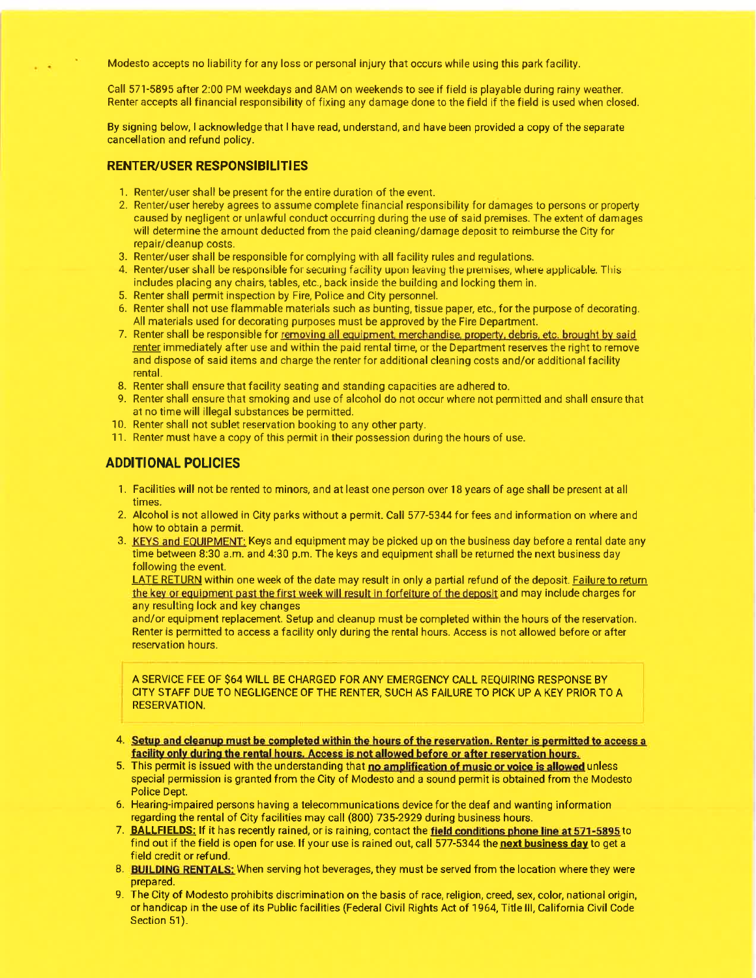Modesto accepts no liability for any loss or personal injury that occurs while using this park facility.

Call 571-5895 after 2:00 PM weekdays and 8AM on weekends to see if field is playable during rainy weather. Renter accepts all financial responsibility of fixing any damage done to the field if the field is used when closed.

By signing below, I acknowledge that I have read, understand, and have been provided a copy of the separate cancellation and refund policy.

### RENTER/USER RESPONSIBILITIES

- 1. Renter/user shall be present forthe entire duration of the event.
- 2. Renter/user hereby agrees to assume complete financial responsibility for damages to persons or property caused by negligent or unlawful conduct occurring during the use of said premises. The extent of damages will determine the amount deducted from the paid cleaning/damage deposit to reimburse the City for repair/cleanup costs.
- 3. Renter/user shall be responsible for complying with all facility rules and regulations.
- 4. Renter/user shall be responsible for securing facility upon leaving the premises, where applicable. This includes placing any chairs, tables, etc., back inside the building and locking them in.
- 5. Renter shall permit inspection by Fire, Police and City personnel.
- 6. Renter shall not use flammable materials such as bunting, tissue paper, etc., for the purpose of decorating. All materials used for decorating purposes must be approved by the Fire Department.
- 7. Renter shall be responsible for removing all equipment, merchandise, property, debris, etc. brought by said renter immediately after use and within the paid rental time, or the Department reserves the right to remove and dispose of said items and charge the renter for additional cleaning costs and/or additional facility rental.
- 8. Renter shall ensure that facility seating and standing capacities are adhered to.
- 9. Renter shall ensure that smoking and use of alcohol do not occur where not permitted and shall ensure that at no time will illegal substances be permitted.
- 10. Renter shall not sublet reservation booking to any other party.
- 11. Renter must have a copy of this permit in their possession during the hours of use.

### ADDITIONAL POLICIES

- 1. Facilities will not be rented to minors, and at least one person over 18 years of age shall be present at all times.
- 2. Alcohol is not allowed in City parks without a permit. Call 577-5344 for fees and information on where and how to obtain a permit.
- 3. KEYS and EOUIPMENT: Keys and equipment may be picked up on the business day before a rental date any time between 8:30 a.m. and 4:30 p.m. The keys and equipment shall be returned the next business day following the event.

LATE RETURN within one week of the date may result in only a partial refund of the deposit. Failure to return the key or equipment past the first week will result in forfeiture of the deposit and may include charges for any resulting lock and key changes

and/or equipment replacement. Setup and cleanup must be completed within the hours of the reservation. Renter is permitted to access a facility only during the rental hours. Access is not allowed before or after reservation hours.

A SERVICE FEE OF \$OA WIIL BE CHARGED FOR ANY EMERGENCY CALL REQUIRING RESPONSE BY CITY STAFF DUE TO NEGLIGENCE OF THE RENTER, SUCH AS FAILURE TO PICK UP A KEY PRIOR TO A RESERVATION.

- 4. Setup and deanup must be completed within the hours of the reservation. Renter is permitted to access a facility only during the rental hours. Access is not allowed before or after reservation hours.
- 5. This permit is issued with the understanding that no amplification of music or voice is allowed unless special permission is granted from the City of Modesto and a sound permit is obtained from the Modesto Police Dept.
- 6. Hearing-impaired persons having a telecommunications device for the deaf and wanting information regarding the rental of City facilities may call (800) 735-2929 during business hours.
- 7. BALLFIELDS: If it has recently rained, or is raining, contact the field conditions phone line at 571-5895 to find out if the field is open for use. If your use is rained out, call 577-5344 the next business day to get a field credit or refund.
- 8. **BUILDING RENTALS:** When serving hot beverages, they must be served from the location where they were prepared.
- 9. The City of Modesto prohibits discrimination on the basis of race, religion, creed, sex, color, national origin, or handicap in the use of its Public facilities (Federal Civil Rights Act of 1964, Title lll, California Civil Code Section 51).